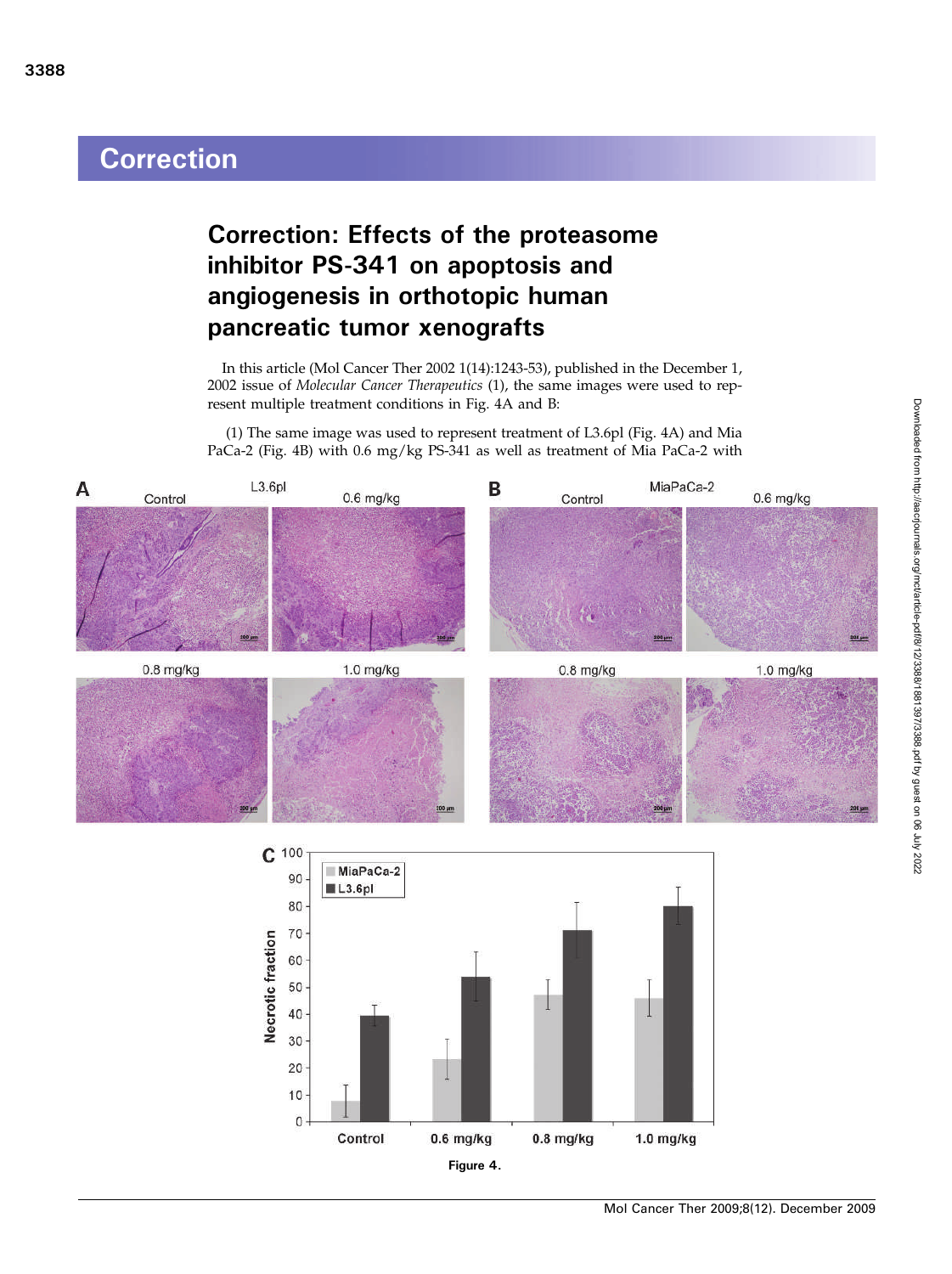## **Correction**

## Correction: Effects of the proteasome inhibitor PS-341 on apoptosis and angiogenesis in orthotopic human pancreatic tumor xenografts

In this article (Mol Cancer Ther 2002 1(14):1243-53), published in the December 1, 2002 issue of Molecular Cancer Therapeutics (1), the same images were used to represent multiple treatment conditions in Fig. 4A and B:

(1) The same image was used to represent treatment of L3.6pl (Fig. 4A) and Mia PaCa-2 (Fig. 4B) with 0.6 mg/kg PS-341 as well as treatment of Mia PaCa-2 with